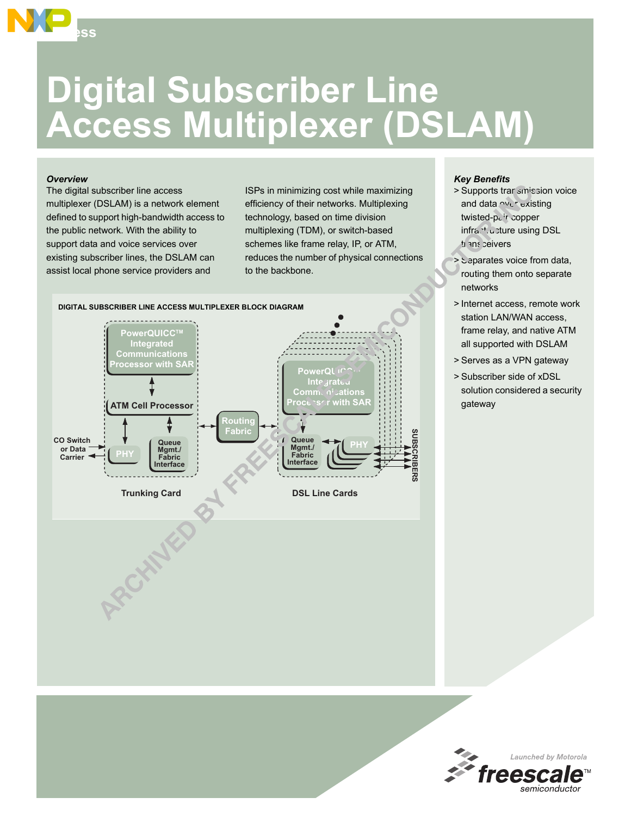# **Digital Subscriber Line Access Multiplexer (DSLAM)**

#### *Overview*

**Access**

The digital subscriber line access multiplexer (DSLAM) is a network element defined to support high-bandwidth access to the public network. With the ability to support data and voice services over existing subscriber lines, the DSLAM can assist local phone service providers and

ISPs in minimizing cost while maximizing efficiency of their networks. Multiplexing technology, based on time division multiplexing (TDM), or switch-based schemes like frame relay, IP, or ATM, reduces the number of physical connections to the backbone.



### *Key Benefits*

- > Supports trar sinission voice and data over existing twisted-pair copper infracture using DSL ti ans ceivers
- > Separates voice from data, routing them onto separate networks
- > Internet access, remote work station LAN/WAN access, frame relay, and native ATM all supported with DSLAM
- > Serves as a VPN gateway
- > Subscriber side of xDSL solution considered a security gateway

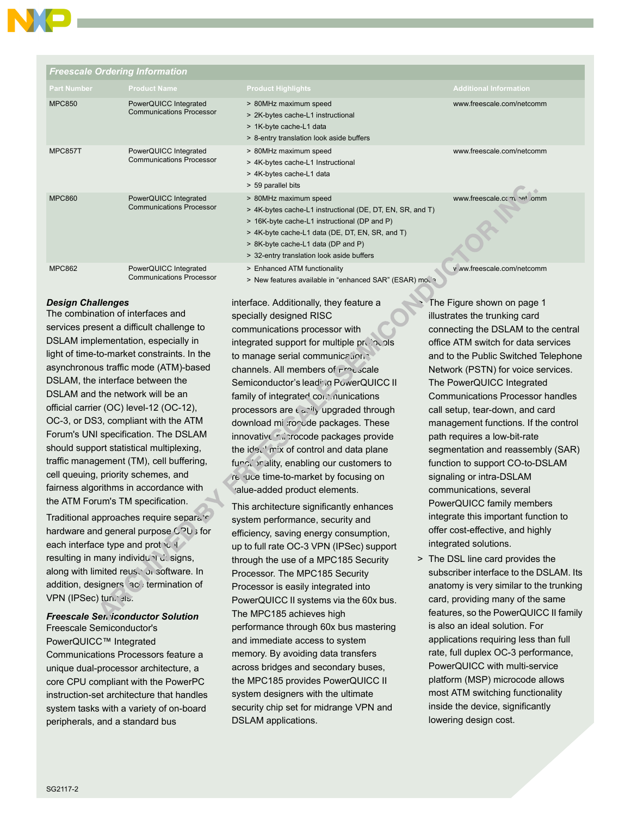# *Freescale Ordering Information*

|                    | n recocare ordering information.                         |                                                                                                                                                                                                                                                                          |                               |
|--------------------|----------------------------------------------------------|--------------------------------------------------------------------------------------------------------------------------------------------------------------------------------------------------------------------------------------------------------------------------|-------------------------------|
| <b>Part Number</b> | <b>Product Name</b>                                      | <b>Product Highlights</b>                                                                                                                                                                                                                                                | <b>Additional Information</b> |
| <b>MPC850</b>      | PowerQUICC Integrated<br><b>Communications Processor</b> | > 80MHz maximum speed<br>> 2K-bytes cache-L1 instructional<br>> 1K-byte cache-L1 data<br>> 8-entry translation look aside buffers                                                                                                                                        | www.freescale.com/netcomm     |
| MPC857T            | PowerQUICC Integrated<br><b>Communications Processor</b> | > 80MHz maximum speed<br>> 4K-bytes cache-L1 Instructional<br>> 4K-bytes cache-L1 data<br>> 59 parallel bits                                                                                                                                                             | www.freescale.com/netcomm     |
| <b>MPC860</b>      | PowerQUICC Integrated<br><b>Communications Processor</b> | > 80MHz maximum speed<br>> 4K-bytes cache-L1 instructional (DE, DT, EN, SR, and T)<br>> 16K-byte cache-L1 instructional (DP and P)<br>> 4K-byte cache-L1 data (DE, DT, EN, SR, and T)<br>> 8K-byte cache-L1 data (DP and P)<br>> 32-entry translation look aside buffers | www.freescale.com/ net.comm   |
| <b>MPC862</b>      | PowerQUICC Integrated<br><b>Communications Processor</b> | > Enhanced ATM functionality<br>> New features available in "enhanced SAR" (ESAR) mount                                                                                                                                                                                  | v ww.freescale.com/netcomm    |

## *Design Challenges*

The combination of interfaces and services present a difficult challenge to DSLAM implementation, especially in light of time-to-market constraints. In the asynchronous traffic mode (ATM)-based DSLAM, the interface between the DSLAM and the network will be an official carrier (OC) level-12 (OC-12), OC-3, or DS3, compliant with the ATM Forum's UNI specification. The DSLAM should support statistical multiplexing, traffic management (TM), cell buffering, cell queuing, priority schemes, and fairness algorithms in accordance with the ATM Forum's TM specification.

Traditional approaches require separate hardware and general purpose CPU is for each interface type and protocol resulting in many individual designs, along with limited reuse of software. In addition, designers face termination of VPN (IPSec) tunnels.

# *Freescale Semiconductor Solution*

Freescale Semiconductor's PowerQUICC™ Integrated Communications Processors feature a unique dual-processor architecture, a core CPU compliant with the PowerPC instruction-set architecture that handles system tasks with a variety of on-board peripherals, and a standard bus

interface. Additionally, they feature a specially designed RISC communications processor with integrated support for multiple protocols to manage serial communications channels. All members of Frauscale Semiconductor's leading PowerQUICC II family of integrated communications processors are  $\epsilon$  and  $\epsilon$  upgraded through download mi :roode packages. These innovative microcode packages provide the  $ide$ .  $mix$  of control and data plane functionality, enabling our customers to re luce time-to-market by focusing on value-added product elements.

This architecture significantly enhances system performance, security and efficiency, saving energy consumption, up to full rate OC-3 VPN (IPSec) support through the use of a MPC185 Security Processor. The MPC185 Security Processor is easily integrated into PowerQUICC II systems via the 60x bus. The MPC185 achieves high performance through 60x bus mastering and immediate access to system memory. By avoiding data transfers across bridges and secondary buses, the MPC185 provides PowerQUICC II system designers with the ultimate security chip set for midrange VPN and DSLAM applications.

The Figure shown on page 1 illustrates the trunking card connecting the DSLAM to the central office ATM switch for data services and to the Public Switched Telephone Network (PSTN) for voice services. The PowerQUICC Integrated Communications Processor handles call setup, tear-down, and card management functions. If the control path requires a low-bit-rate segmentation and reassembly (SAR) function to support CO-to-DSLAM signaling or intra-DSLAM communications, several PowerQUICC family members integrate this important function to offer cost-effective, and highly integrated solutions.

> The DSL line card provides the subscriber interface to the DSLAM. Its anatomy is very similar to the trunking card, providing many of the same features, so the PowerQUICC II family is also an ideal solution. For applications requiring less than full rate, full duplex OC-3 performance, PowerQUICC with multi-service platform (MSP) microcode allows most ATM switching functionality inside the device, significantly lowering design cost.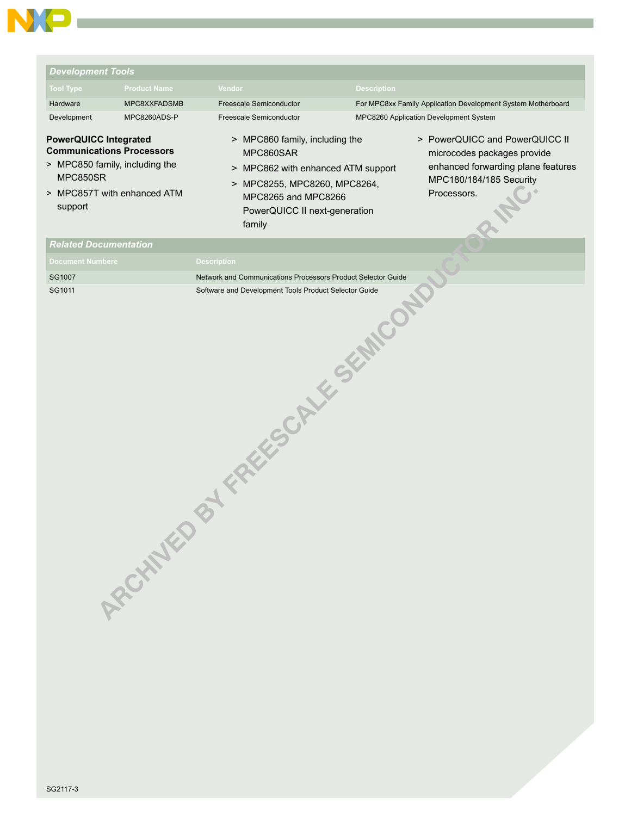

| <b>Development Tools</b>                                                                                                                                 |                     |                                                                                                                                          |                    |                                                                                                                                               |
|----------------------------------------------------------------------------------------------------------------------------------------------------------|---------------------|------------------------------------------------------------------------------------------------------------------------------------------|--------------------|-----------------------------------------------------------------------------------------------------------------------------------------------|
| <b>Tool Type</b>                                                                                                                                         | <b>Product Name</b> | Vendor                                                                                                                                   | <b>Description</b> |                                                                                                                                               |
| Hardware                                                                                                                                                 | MPC8XXFADSMB        | Freescale Semiconductor                                                                                                                  |                    | For MPC8xx Family Application Development System Motherboard                                                                                  |
| Development                                                                                                                                              | MPC8260ADS-P        | Freescale Semiconductor                                                                                                                  |                    | MPC8260 Application Development System                                                                                                        |
| <b>PowerQUICC Integrated</b><br><b>Communications Processors</b><br>> MPC850 family, including the<br>MPC850SR<br>> MPC857T with enhanced ATM<br>support |                     | > MPC860 family, including the<br>MPC860SAR<br>> MPC862 with enhanced ATM support<br>> MPC8255, MPC8260, MPC8264,<br>MPC8265 and MPC8266 |                    | > PowerQUICC and PowerQUICC II<br>microcodes packages provide<br>enhanced forwarding plane features<br>MPC180/184/185 Security<br>Processors. |
|                                                                                                                                                          |                     | PowerQUICC II next-generation<br>family                                                                                                  |                    |                                                                                                                                               |
| <b>Related Documentation</b>                                                                                                                             |                     |                                                                                                                                          |                    |                                                                                                                                               |
| <b>Document Numbere</b>                                                                                                                                  |                     | <b>Description</b>                                                                                                                       |                    |                                                                                                                                               |
| SG1007                                                                                                                                                   |                     | Network and Communications Processors Product Selector Guide                                                                             |                    |                                                                                                                                               |
|                                                                                                                                                          | ASCHAMED BY         | FREEGORIES SEMICOR                                                                                                                       |                    |                                                                                                                                               |